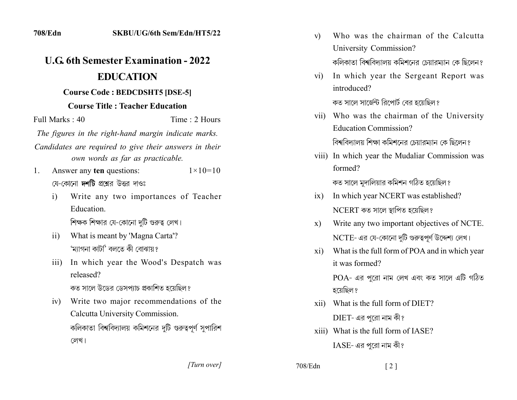|                |                                    | <b>EDUCATION</b>                                                                           |
|----------------|------------------------------------|--------------------------------------------------------------------------------------------|
|                |                                    | <b>Course Code: BEDCDSHT5 [DSE-5]</b>                                                      |
|                |                                    | <b>Course Title: Teacher Education</b>                                                     |
| Full Marks: 40 |                                    | Time: 2 Hours                                                                              |
|                |                                    | The figures in the right-hand margin indicate marks.                                       |
|                |                                    | Candidates are required to give their answers in their<br>own words as far as practicable. |
| 1.             |                                    | Answer any ten questions:<br>$1 \times 10 = 10$                                            |
|                | যে-কোনো দর্শটি প্রশ্নের উত্তর দাওঃ |                                                                                            |
|                | i)                                 | Write any two importances of Teacher                                                       |
|                |                                    | Education.                                                                                 |
|                |                                    | শিক্ষক শিক্ষার যে-কোনো দুটি গুরুত্ব লেখ।                                                   |
|                | $\overline{11}$                    | What is meant by 'Magna Carta'?                                                            |
|                |                                    | 'ম্যাগনা কাটা' বলতে কী বোঝায়?                                                             |
|                | $\overline{111}$                   | In which year the Wood's Despatch was                                                      |
|                |                                    | released?                                                                                  |
|                |                                    | কত সালে উডের ডেসপ্যাচ প্রকাশিত হয়েছিল?                                                    |
|                | iv)                                | Write two major recommendations of the                                                     |
|                |                                    | Calcutta University Commission.                                                            |
|                |                                    | কলিকাতা বিশ্ববিদ্যালয় কমিশনের দুটি গুরুত্বপূর্ণ সুপারিশ                                   |
|                |                                    | লেখ।                                                                                       |

SKBU/UG/6th Sem/Edn/HT5/22

| $V$ ) | Who was the chairman of the Calcutta                 |
|-------|------------------------------------------------------|
|       | University Commission?                               |
|       | কলিকাতা বিশ্ববিদ্যালয় কমিশনের চেয়ারম্যান কে ছিলেন? |

In which year the Sergeant Report was  $\overline{vi}$ introduced? কত সালে সার্জেন্ট রিপোর্ট বের হয়েছিল?

vii) Who was the chairman of the University **Education Commission?** 

বিশ্ববিদ্যালয় শিক্ষা কমিশনের চেয়ারম্যান কে ছিলেন?

viii) In which year the Mudaliar Commission was formed?

কত সালে মুদালিয়ার কমিশন গঠিত হয়েছিল?

- In which year NCERT was established?  $i\mathbf{x}$  $NCERT$  কত সালে স্থাপিত হয়েছিল?
- Write any two important objectives of NCTE.  $\mathbf{x})$ NCTE- এর যে-কোনো দুটি গুরুত্বপূর্ণ উদ্দেশ্য লেখ।
- What is the full form of POA and in which year  $xi)$ it was formed?

POA- এর পুরো নাম লেখ এবং কত সালে এটি গঠিত হয়েছিল ?

- xii) What is the full form of DIET?  $DIFT$ - এর পুরো নাম কী?
- xiii) What is the full form of IASE?  $IASE$ - এর পুরো নাম কী?

[Turn over]

708/Edn

 $\lceil 2 \rceil$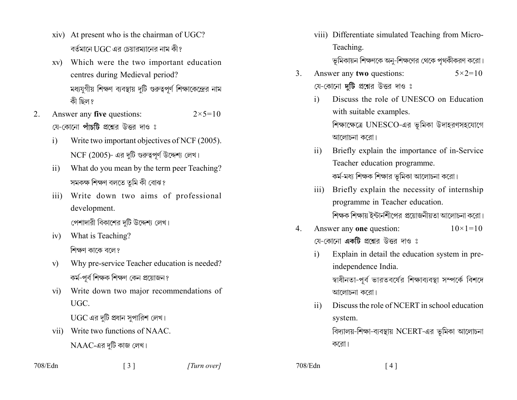- xiv) At present who is the chairman of UGC? বর্তমানে UGC এর চেয়ারম্যানের নাম কী?
- xv) Which were the two important education centres during Medieval period? মধ্যযুগীয় শিক্ষণ ব্যবস্থায় দুটি গুরুত্বপূর্ণ শিক্ষাকেন্দ্রের নাম কী ছিল ?
- Answer any five questions:  $2 \times 5 = 10$ 2. য়ে-কোনো **পাঁচটি** প্রশ্নের উত্তর দাও ঃ
	- Write two important objectives of NCF (2005).  $\mathbf{i}$  $NCF$  (2005)- এর দুটি গুরুত্বপূর্ণ উদ্দেশ্য লেখ।
	- What do you mean by the term peer Teaching?  $\overline{11}$ সমকক্ষ শিক্ষণ বলতে তুমি কী বোঝ?
	- iii) Write down two aims of professional development.

পেশাদারী বিকাশের দুটি উদ্দেশ্য লেখ।

- What is Teaching?  $iv)$ শিক্ষণ কাকে বলে?
- Why pre-service Teacher education is needed?  $V)$ কৰ্ম-পৰ্ব শিক্ষক শিক্ষণ কেন প্ৰয়োজন ?
- Write down two major recommendations of  $\overline{vi}$ UGC.

UGC এর দুটি প্রধান সুপারিশ লেখ।

vii) Write two functions of NAAC.  $NAAC$ -এর দুটি কাজ লেখ।

viii) Differentiate simulated Teaching from Micro-Teaching.

ভূমিকায়ন শিক্ষণকে অনু-শিক্ষণের থেকে পৃথকীকরণ করো।

- Answer any two questions:  $\mathcal{E}$  $5 \times 2 = 10$ যে-কোনো **দটি** প্রশ্নের উত্তর দাও ঃ
	- Discuss the role of UNESCO on Education  $\mathbf{i}$ with suitable examples. শিক্ষাক্ষেত্রে UNESCO-এর ভূমিকা উদাহরণসহযোগে আলোচনা করো।
	- Briefly explain the importance of in-Service  $\overline{11}$ Teacher education programme. কর্ম-মধ্য শিক্ষক শিক্ষার ভূমিকা আলোচনা করো।
	- Briefly explain the necessity of internship  $\overline{111}$ programme in Teacher education. শিক্ষক শিক্ষায় ইন্টার্নশীপের প্রয়োজনীয়তা আলোচনা করো।
- Answer any one question:  $10 \times 1 = 10$  $4_{\ldots}$ য়ে-কোনো **একটি** প্রশ্নের উত্তর দাও ঃ
	- Explain in detail the education system in pre- $\mathbf{i}$ independence India. স্বাধীনতা-পূর্ব ভারতবর্ষের শিক্ষাব্যবস্থা সম্পর্কে বিশদে আলোচনা করো।
	- Discuss the role of NCERT in school education  $\overline{11}$ system. বিদ্যালয়-শিক্ষা-ব্যবস্থায় NCERT-এর ভূমিকা আলোচনা

করো।

708/Edn